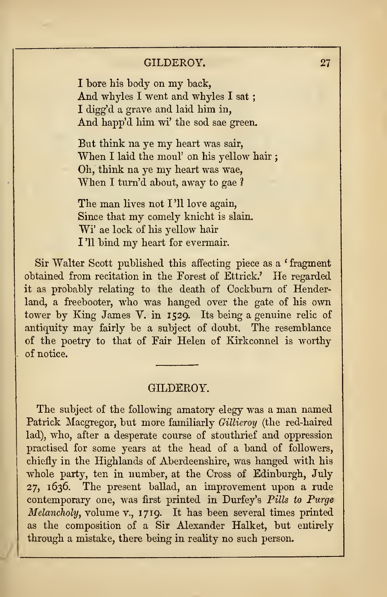## GILDEROY.

The subject of the following amatory elegy was a man named Patrick Macgregor, but more familiarly Gillieroy (the red-haired lad), who, after a desperate course of stouthrief and oppression practised for some years at the bead of a band of followers, chiefly in the Highlands of Aberdeenshire, was hanged with his whole party, ten in number, at the Cross of Edinburgh, July 27, 1636. The present ballad, an improvement upon a rude contemporary one, was first printed in Durfey's Pills to Purge Melancholy, volume v., 1719. It has been several times printed as tbe composition of a Sir Alexander Halket, but entirely through a mistake, there being in reality no such person.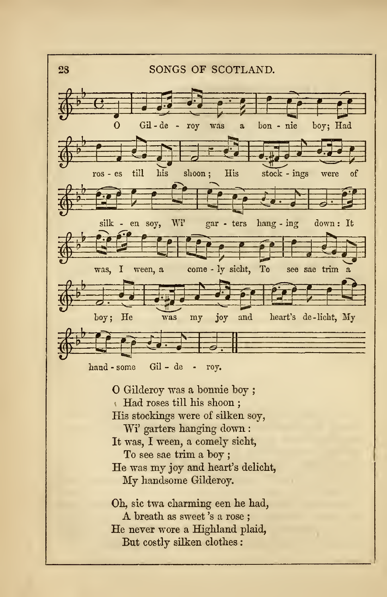

Had roses till his sboon ; His stockings were of silken soy, Wi' garters hanging down : It was, I ween, a comely sicht, To see sae trim a boy ; He was my joy and heart's delicht, My handsome Gilderoy.

Oh, sic twa charming een he had, <sup>A</sup> breath as sweet 's<sup>a</sup> rose ; He never wore a Highland plaid, But costly silken clothes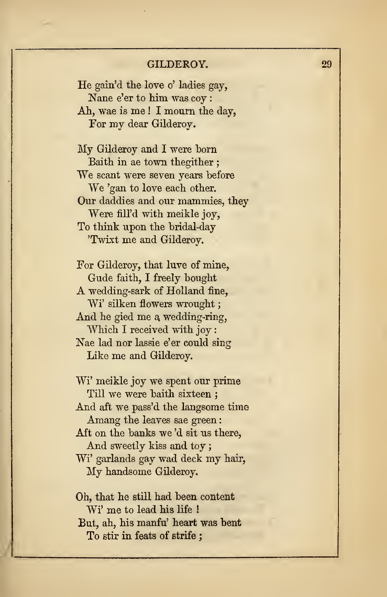# GILDEROY. 29

He gain'd the love o' ladies gay, Nane e'er to him was coy : Ah, wae is me ! I mourn the day, For my dear Gilderoy.

My Gilderoy and <sup>I</sup> were horn Baith in ae town thegither ; We scant were seven years before We 'gan to love each other. Our daddies and our mammies, they Were fill'd with meikle joy, To think upon the bridal-day 'Twixt me and Gilderoy.

For Gilderoy, that luve of mine, Gude faith, I freely bought A wedding-sark of Holland fine, Wi' silken flowers wrought; And he gied me a wedding-ring, Which I received with joy: Nae lad nor lassie e'er could sing Like me and Gilderoy.

Wi' meikle joy we spent our prime Till we were baith sixteen ; And aft we pass'd the langsome time Amang the leaves sae green: Aft on the banks we 'd sit us there, And sweetly kiss and toy Wi' garlands gay wad deck my hair, My handsome Gilderoy.

Oh, that he still had been content Wi' me to lead his life ! But, ah, his manfu' heart was bent To stir in feats of strife ;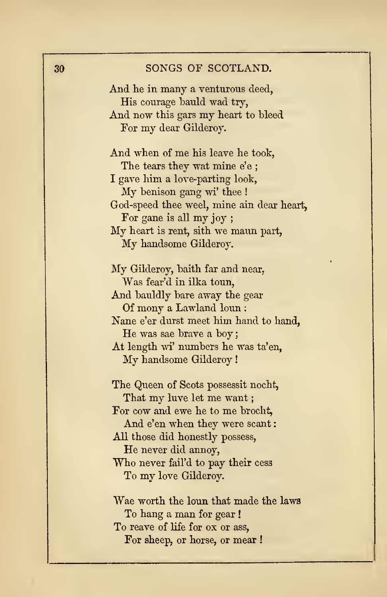### 30 SONGS OF SCOTLAND.

And he in many a venturous deed, His courage bauld wad try, And now this gars my heart to bleed For my dear Gilderoy. And when of me his leave he took, The tears they wat mine e'e ; I gave him a love-parting look, My benison gang wi' thee ! God-speed thee weel, mine ain dear heart, For gane is all my joy ; My heart is rent, sith we maun part, My handsome Gilderoy. My Gilderoy, baith far and near, Was fear'd in ilka toun, And bauldly bare away the gear Of mony a Lawland loun : Nane e'er durst meet him hand to hand, He was sae brave a boy At length wi' numbers he was ta'en, My handsome Gilderoy The Queen of Scots possessit nocht, That my luve let me want; For cow and ewe he to me brocht, And e'en when they were scant: All those did honestly possess, He never did annoy, Who never fail'd to pay their cess To my love Gilderoy. Wae worth the loun that made the laws To hang a man for gear ! To reave of life for ox or ass, For sheep, or horse, or mear !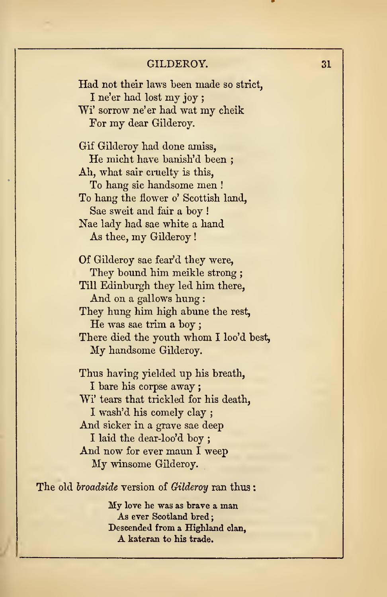| GILDEROY.                                              | 31 |
|--------------------------------------------------------|----|
| Had not their laws been made so strict,                |    |
| I ne'er had lost my joy;                               |    |
| Wi' sorrow ne'er had wat my cheik                      |    |
| For my dear Gilderoy.                                  |    |
| Gif Gilderoy had done amiss,                           |    |
| He micht have banish'd been:                           |    |
| Ah, what sair cruelty is this,                         |    |
| To hang sic handsome men !                             |    |
| To hang the flower o' Scottish land,                   |    |
| Sae sweit and fair a boy!                              |    |
| Nae lady had sae white a hand                          |    |
| As thee, my Gilderoy!                                  |    |
| Of Gilderoy sae fear'd they were,                      |    |
| They bound him meikle strong;                          |    |
| Till Edinburgh they led him there,                     |    |
| And on a gallows hung:                                 |    |
| They hung him high abune the rest,                     |    |
| He was sae trim a boy;                                 |    |
| There died the youth whom I loo'd best,                |    |
| My handsome Gilderoy.                                  |    |
| Thus having yielded up his breath,                     |    |
| I bare his corpse away ;                               |    |
| Wi' tears that trickled for his death,                 |    |
| I wash'd his comely clay;                              |    |
| And sicker in a grave sae deep                         |    |
| I laid the dear-loo'd boy;                             |    |
| And now for ever maun I weep                           |    |
| My winsome Gilderoy.                                   |    |
| The old <i>broadside</i> version of Gilderoy ran thus: |    |
| My love he was as brave a man                          |    |
| As ever Scotland bred;                                 |    |
| Descended from a Highland clan.                        |    |
| A kateran to his trade.                                |    |